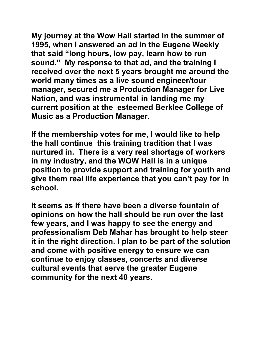**My journey at the Wow Hall started in the summer of 1995, when I answered an ad in the Eugene Weekly that said "long hours, low pay, learn how to run sound." My response to that ad, and the training I received over the next 5 years brought me around the world many times as a live sound engineer/tour manager, secured me a Production Manager for Live Nation, and was instrumental in landing me my current position at the esteemed Berklee College of Music as a Production Manager.** 

**If the membership votes for me, I would like to help the hall continue this training tradition that I was nurtured in. There is a very real shortage of workers in my industry, and the WOW Hall is in a unique position to provide support and training for youth and give them real life experience that you can't pay for in school.** 

**It seems as if there have been a diverse fountain of opinions on how the hall should be run over the last few years, and I was happy to see the energy and professionalism Deb Mahar has brought to help steer it in the right direction. I plan to be part of the solution and come with positive energy to ensure we can continue to enjoy classes, concerts and diverse cultural events that serve the greater Eugene community for the next 40 years.**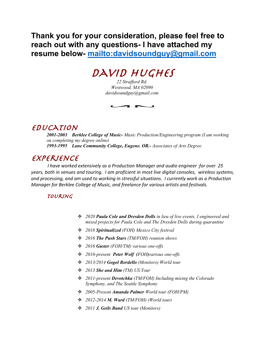**Thank you for your consideration, please feel free to reach out with any questions- I have attached my resume below- mailto:davidsoundguy@gmail.com**

# DAVID HUGHES

*22 Strafford Rd. Westwood, MA 02090 davidsoundguy@gmail.com*

 $\overline{\phantom{a}}$ 

### Education

*2001-2003 Berklee College of Music- Music Production/Engineering program (I am working on completing my degree online) 1993-1995 Lane Community College, Eugene. OR.- Associates of Arts Degree*

## **EXPERIENCE**

*I have worked extensively as a Production Manager and audio engineer for over 25 years, both in venues and touring. I am proficient in most live digital consoles, wireless systems, and processing, and am used to working in stressful situations. I currently work as a Production Manager for Berklee College of Music, and freelance for various artists and festivals.*

### **TOURING**

- v *2020 Paula Cole and Dresden Dolls in lieu of live events, I engineered and mixed projects for Paula Cole and The Dresden Dolls during quarantine*
- v *2018 Spiritualized (FOH) Mexico City festival*
- v *2016 The Push Stars (TM/FOH) reunion shows*
- v *2016 Guster (FOH/TM) various one-offs*
- v *2016-present Peter Wolf (FOH)various one-offs*
- v *2013/2014 Gogol Bordello (Monitors) World tour*
- v *2013 She and Him (TM) US Tour*
- v *2011-present Devotchka (TM/FOH) Including mixing the Colorado Symphony, and The Seattle Symphony*
- v *2005-Present Amanda Palmer World tour (FOH/PM)*
- v *2012-2014 M. Ward (TM/FOH) (World tour)*
- v *2011 J. Geils Band US tour (Monitors)*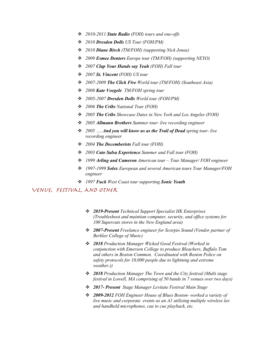- v *2010-2011 State Radio (FOH) tours and one-offs*
- v *2010 Dresden Dolls US Tour (FOH/PM)*
- v *2010 Diane Birch (TM/FOH) (supporting Nick Jonas)*
- v *2009 Esmee Denters Europe tour (TM/FOH) (supporting NEYO)*
- v *2007 Clap Your Hands say Yeah (FOH) Fall tour*
- v *2007 St. Vincent (FOH) US tour*
- v *2007-2009 The Click Five World tour (TM/FOH) (Southeast Asia)*
- v *2008 Kate Voegele TM/FOH spring tour*
- v *2005-2007 Dresden Dolls World tour (FOH/PM)*
- v *2006 The Cribs National Tour (FOH)*
- v *2005 The Cribs Showcase Dates in New York and Los Angeles (FOH)*
- v *2005 Allmann Brothers Summer tour- live recording engineer*
- v *2005 …..And you will know us as the Trail of Dead spring tour- live recording engineer*
- v *2004 The Decemberists Fall tour (FOH)*
- v *2003 Cato Salsa Experience Summer and Fall tour (FOH)*
- v *1999 Arling and Cameron American tour – Tour Manager/ FOH engineer*
- v *1997-1999 Solex European and several American tours Tour Manager/FOH engineer*
- v *1997 Fuck West Coast tour supporting Sonic Youth*

#### Venue, festival, and Other

- v *2019-Present Technical Support Specialist HK Enterprises (Troubleshoot and maintian computer, security, and office systems for 100 Supercuts stores in the New England area)*
- v *2007-Present Freelance engineer for Scorpio Sound (Vendor partner of Berklee College of Music)*
- v *2018 Production Manager Wicked Good Festival (Worked in conjunction with Emerson College to produce Bleachers, Buffalo Tom and others in Boston Common. Coordinated with Boston Police on safety protocols for 10,000 people due to lightning and extreme weather.))*
- v *2018 Production Manager The Town and the City festival (Multi stage festival in Lowell, MA comprising of 50 bands in 7 venues over two days)*
- v *2017- Present Stage Manager Levitate Festival Main Stage*
- v *2009-2012 FOH Engineer House of Blues Boston- worked a variety of live music and corporate events as an A1 utilizing multiple wireless lav and handheld microphones, cue to cue playback, etc.*